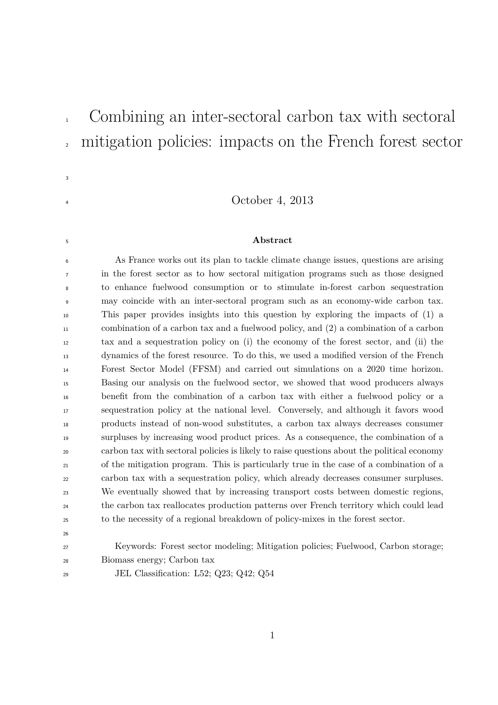# Combining an inter-sectoral carbon tax with sectoral mitigation policies: impacts on the French forest sector

October 4, 2013

### **Abstract**

 As France works out its plan to tackle climate change issues, questions are arising in the forest sector as to how sectoral mitigation programs such as those designed to enhance fuelwood consumption or to stimulate in-forest carbon sequestration may coincide with an inter-sectoral program such as an economy-wide carbon tax. This paper provides insights into this question by exploring the impacts of (1) a combination of a carbon tax and a fuelwood policy, and (2) a combination of a carbon tax and a sequestration policy on (i) the economy of the forest sector, and (ii) the dynamics of the forest resource. To do this, we used a modified version of the French Forest Sector Model (FFSM) and carried out simulations on a 2020 time horizon. Basing our analysis on the fuelwood sector, we showed that wood producers always benefit from the combination of a carbon tax with either a fuelwood policy or a sequestration policy at the national level. Conversely, and although it favors wood products instead of non-wood substitutes, a carbon tax always decreases consumer surpluses by increasing wood product prices. As a consequence, the combination of a carbon tax with sectoral policies is likely to raise questions about the political economy of the mitigation program. This is particularly true in the case of a combination of a carbon tax with a sequestration policy, which already decreases consumer surpluses. We eventually showed that by increasing transport costs between domestic regions, the carbon tax reallocates production patterns over French territory which could lead to the necessity of a regional breakdown of policy-mixes in the forest sector.

 Keywords: Forest sector modeling; Mitigation policies; Fuelwood, Carbon storage; Biomass energy; Carbon tax

JEL Classification: L52; Q23; Q42; Q54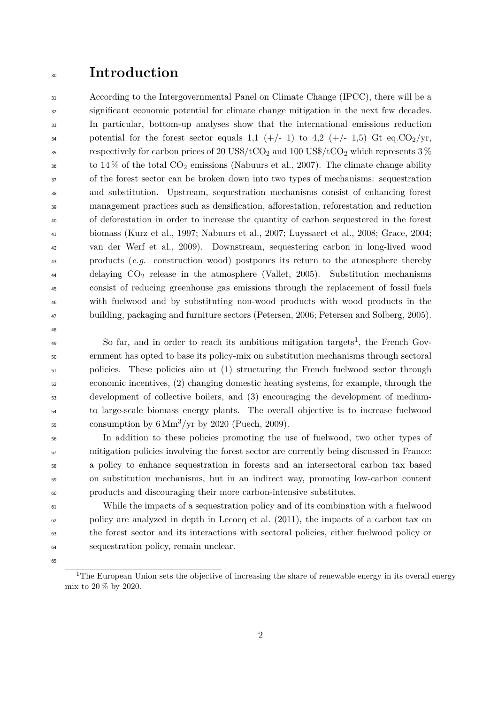# **Introduction**

 According to the Intergovernmental Panel on Climate Change (IPCC), there will be a significant economic potential for climate change mitigation in the next few decades. In particular, bottom-up analyses show that the international emissions reduction 34 potential for the forest sector equals 1,1 (+/- 1) to 4,2 (+/- 1,5) Gt eq.CO<sub>2</sub>/yr, <sup>35</sup> respectively for carbon prices of 20 US\$/ $tCO_2$  and 100 US\$/ $tCO_2$  which represents 3 %  $\text{36}$  to  $14\%$  of the total CO<sub>2</sub> emissions [\(Nabuurs et al.,](#page-18-0) [2007\)](#page-18-0). The climate change ability of the forest sector can be broken down into two types of mechanisms: sequestration and substitution. Upstream, sequestration mechanisms consist of enhancing forest management practices such as densification, afforestation, reforestation and reduction of deforestation in order to increase the quantity of carbon sequestered in the forest biomass [\(Kurz et al.,](#page-18-1) [1997;](#page-18-1) [Nabuurs et al.,](#page-18-0) [2007;](#page-18-0) [Luyssaert et al.,](#page-18-2) [2008;](#page-18-2) [Grace,](#page-17-0) [2004;](#page-17-0) [van der Werf et al.,](#page-19-0) [2009\)](#page-19-0). Downstream, sequestering carbon in long-lived wood products (*e.g.* construction wood) postpones its return to the atmosphere thereby delaying CO<sup>2</sup> release in the atmosphere [\(Vallet,](#page-19-1) [2005\)](#page-19-1). Substitution mechanisms consist of reducing greenhouse gas emissions through the replacement of fossil fuels with fuelwood and by substituting non-wood products with wood products in the building, packaging and furniture sectors [\(Petersen,](#page-18-3) [2006;](#page-18-3) [Petersen and Solberg,](#page-18-4) [2005\)](#page-18-4).

 $\sim$  So far, and in order to reach its ambitious mitigation targets<sup>[1](#page-1-0)</sup>, the French Gov- ernment has opted to base its policy-mix on substitution mechanisms through sectoral policies. These policies aim at (1) structuring the French fuelwood sector through economic incentives, (2) changing domestic heating systems, for example, through the development of collective boilers, and (3) encouraging the development of medium- to large-scale biomass energy plants. The overall objective is to increase fuelwood <sup>55</sup> consumption by  $6 \,\mathrm{Mm}^3/\mathrm{yr}$  by 2020 [\(Puech,](#page-18-5) [2009\)](#page-18-5).

 In addition to these policies promoting the use of fuelwood, two other types of mitigation policies involving the forest sector are currently being discussed in France: a policy to enhance sequestration in forests and an intersectoral carbon tax based on substitution mechanisms, but in an indirect way, promoting low-carbon content products and discouraging their more carbon-intensive substitutes.

 While the impacts of a sequestration policy and of its combination with a fuelwood  $\epsilon_2$  policy are analyzed in depth in [Lecocq et al.](#page-18-6) [\(2011\)](#page-18-6), the impacts of a carbon tax on the forest sector and its interactions with sectoral policies, either fuelwood policy or sequestration policy, remain unclear.

<span id="page-1-0"></span><sup>&</sup>lt;sup>1</sup>The European Union sets the objective of increasing the share of renewable energy in its overall energy mix to 20 % by 2020.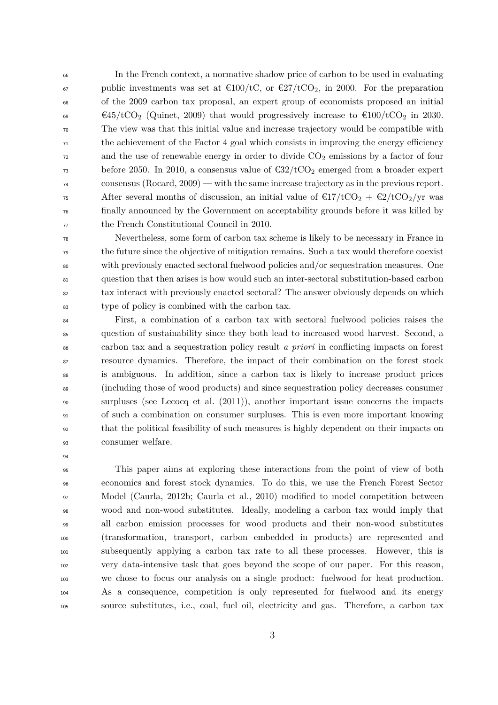In the French context, a normative shadow price of carbon to be used in evaluating 67 public investments was set at  $\epsilon 100/tC$ , or  $\epsilon 27/tCO<sub>2</sub>$ , in 2000. For the preparation of the 2009 carbon tax proposal, an expert group of economists proposed an initial  $\epsilon$ 45/tCO<sub>2</sub> [\(Quinet,](#page-18-7) [2009\)](#page-18-7) that would progressively increase to  $\epsilon$ 100/tCO<sub>2</sub> in 2030. The view was that this initial value and increase trajectory would be compatible with the achievement of the Factor 4 goal which consists in improving the energy efficiency <sup>72</sup> and the use of renewable energy in order to divide  $CO<sub>2</sub>$  emissions by a factor of four  $\tau$ <sup>3</sup> before 2050. In 2010, a consensus value of  $\epsilon$ 32/tCO<sub>2</sub> emerged from a broader expert consensus [\(Rocard,](#page-19-2) [2009\)](#page-19-2) — with the same increase trajectory as in the previous report. 75 After several months of discussion, an initial value of  $\epsilon$ 17/tCO<sub>2</sub> +  $\epsilon$ 2/tCO<sub>2</sub>/yr was finally announced by the Government on acceptability grounds before it was killed by the French Constitutional Council in 2010.

 Nevertheless, some form of carbon tax scheme is likely to be necessary in France in the future since the objective of mitigation remains. Such a tax would therefore coexist with previously enacted sectoral fuelwood policies and/or sequestration measures. One question that then arises is how would such an inter-sectoral substitution-based carbon tax interact with previously enacted sectoral? The answer obviously depends on which type of policy is combined with the carbon tax.

 First, a combination of a carbon tax with sectoral fuelwood policies raises the question of sustainability since they both lead to increased wood harvest. Second, a carbon tax and a sequestration policy result *a priori* in conflicting impacts on forest resource dynamics. Therefore, the impact of their combination on the forest stock is ambiguous. In addition, since a carbon tax is likely to increase product prices (including those of wood products) and since sequestration policy decreases consumer surpluses (see [Lecocq et al.](#page-18-6) [\(2011\)](#page-18-6)), another important issue concerns the impacts of such a combination on consumer surpluses. This is even more important knowing that the political feasibility of such measures is highly dependent on their impacts on consumer welfare.

 This paper aims at exploring these interactions from the point of view of both economics and forest stock dynamics. To do this, we use the French Forest Sector Model [\(Caurla,](#page-17-1) [2012b;](#page-17-1) [Caurla et al.,](#page-17-2) [2010\)](#page-17-2) modified to model competition between wood and non-wood substitutes. Ideally, modeling a carbon tax would imply that all carbon emission processes for wood products and their non-wood substitutes (transformation, transport, carbon embedded in products) are represented and subsequently applying a carbon tax rate to all these processes. However, this is very data-intensive task that goes beyond the scope of our paper. For this reason, we chose to focus our analysis on a single product: fuelwood for heat production. As a consequence, competition is only represented for fuelwood and its energy source substitutes, i.e., coal, fuel oil, electricity and gas. Therefore, a carbon tax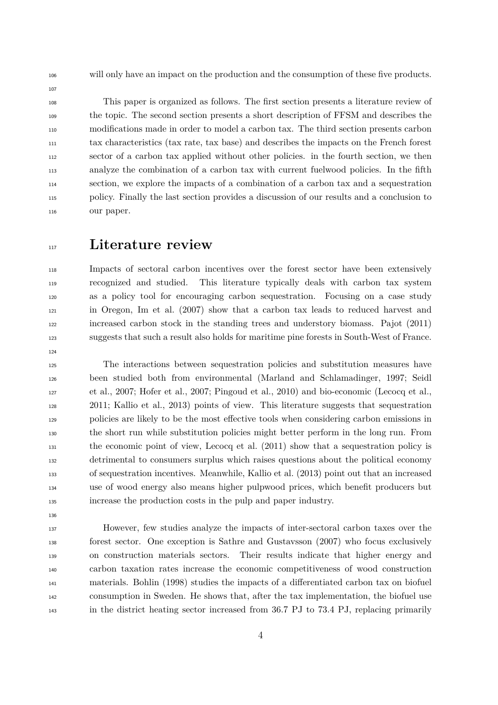will only have an impact on the production and the consumption of these five products.

 This paper is organized as follows. The first section presents a literature review of the topic. The second section presents a short description of FFSM and describes the modifications made in order to model a carbon tax. The third section presents carbon tax characteristics (tax rate, tax base) and describes the impacts on the French forest sector of a carbon tax applied without other policies. in the fourth section, we then analyze the combination of a carbon tax with current fuelwood policies. In the fifth section, we explore the impacts of a combination of a carbon tax and a sequestration policy. Finally the last section provides a discussion of our results and a conclusion to our paper.

# **Literature review**

 Impacts of sectoral carbon incentives over the forest sector have been extensively recognized and studied. This literature typically deals with carbon tax system as a policy tool for encouraging carbon sequestration. Focusing on a case study in Oregon, [Im et al.](#page-17-3) [\(2007\)](#page-17-3) show that a carbon tax leads to reduced harvest and increased carbon stock in the standing trees and understory biomass. [Pajot](#page-18-8) [\(2011\)](#page-18-8) suggests that such a result also holds for maritime pine forests in South-West of France.

 The interactions between sequestration policies and substitution measures have been studied both from environmental [\(Marland and Schlamadinger,](#page-18-9) [1997;](#page-18-9) [Seidl](#page-19-3) [et al.,](#page-19-3) [2007;](#page-19-3) [Hofer et al.,](#page-17-4) [2007;](#page-17-4) [Pingoud et al.,](#page-18-10) [2010\)](#page-18-10) and bio-economic [\(Lecocq et al.,](#page-18-6) [2011;](#page-18-6) [Kallio et al.,](#page-18-11) [2013\)](#page-18-11) points of view. This literature suggests that sequestration policies are likely to be the most effective tools when considering carbon emissions in the short run while substitution policies might better perform in the long run. From the economic point of view, [Lecocq et al.](#page-18-6) [\(2011\)](#page-18-6) show that a sequestration policy is detrimental to consumers surplus which raises questions about the political economy of sequestration incentives. Meanwhile, [Kallio et al.](#page-18-11) [\(2013\)](#page-18-11) point out that an increased use of wood energy also means higher pulpwood prices, which benefit producers but increase the production costs in the pulp and paper industry.

 However, few studies analyze the impacts of inter-sectoral carbon taxes over the forest sector. One exception is [Sathre and Gustavsson](#page-19-4) [\(2007\)](#page-19-4) who focus exclusively on construction materials sectors. Their results indicate that higher energy and carbon taxation rates increase the economic competitiveness of wood construction materials. [Bohlin](#page-16-0) [\(1998\)](#page-16-0) studies the impacts of a differentiated carbon tax on biofuel consumption in Sweden. He shows that, after the tax implementation, the biofuel use in the district heating sector increased from 36.7 PJ to 73.4 PJ, replacing primarily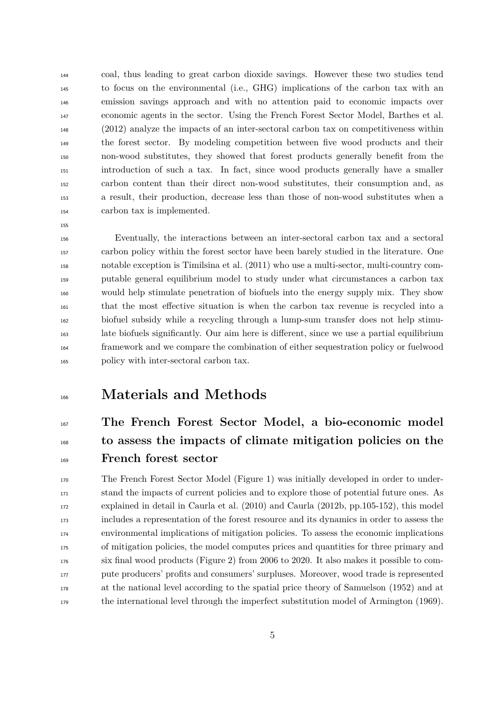coal, thus leading to great carbon dioxide savings. However these two studies tend to focus on the environmental (i.e., GHG) implications of the carbon tax with an emission savings approach and with no attention paid to economic impacts over economic agents in the sector. Using the French Forest Sector Model, [Barthes et al.](#page-16-1) [\(2012\)](#page-16-1) analyze the impacts of an inter-sectoral carbon tax on competitiveness within the forest sector. By modeling competition between five wood products and their non-wood substitutes, they showed that forest products generally benefit from the introduction of such a tax. In fact, since wood products generally have a smaller carbon content than their direct non-wood substitutes, their consumption and, as a result, their production, decrease less than those of non-wood substitutes when a carbon tax is implemented.

 Eventually, the interactions between an inter-sectoral carbon tax and a sectoral carbon policy within the forest sector have been barely studied in the literature. One notable exception is [Timilsina et al.](#page-19-5) [\(2011\)](#page-19-5) who use a multi-sector, multi-country com- putable general equilibrium model to study under what circumstances a carbon tax would help stimulate penetration of biofuels into the energy supply mix. They show that the most effective situation is when the carbon tax revenue is recycled into a biofuel subsidy while a recycling through a lump-sum transfer does not help stimu- late biofuels significantly. Our aim here is different, since we use a partial equilibrium framework and we compare the combination of either sequestration policy or fuelwood policy with inter-sectoral carbon tax.

### **Materials and Methods**

# **The French Forest Sector Model, a bio-economic model to assess the impacts of climate mitigation policies on the French forest sector**

 The French Forest Sector Model (Figure [1\)](#page-5-0) was initially developed in order to under- stand the impacts of current policies and to explore those of potential future ones. As explained in detail in [Caurla et al.](#page-17-2) [\(2010\)](#page-17-2) and [Caurla](#page-17-1) [\(2012b,](#page-17-1) pp.105-152), this model includes a representation of the forest resource and its dynamics in order to assess the environmental implications of mitigation policies. To assess the economic implications of mitigation policies, the model computes prices and quantities for three primary and six final wood products (Figure [2\)](#page-6-0) from 2006 to 2020. It also makes it possible to com- pute producers' profits and consumers' surpluses. Moreover, wood trade is represented at the national level according to the spatial price theory of [Samuelson](#page-19-6) [\(1952\)](#page-19-6) and at the international level through the imperfect substitution model of [Armington](#page-16-2) [\(1969\)](#page-16-2).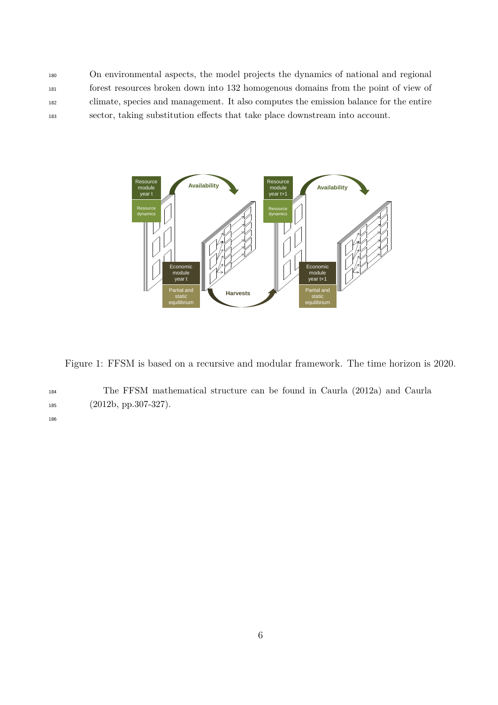<span id="page-5-0"></span> On environmental aspects, the model projects the dynamics of national and regional forest resources broken down into 132 homogenous domains from the point of view of climate, species and management. It also computes the emission balance for the entire sector, taking substitution effects that take place downstream into account.



Figure 1: FFSM is based on a recursive and modular framework. The time horizon is 2020.

<sup>184</sup> The FFSM mathematical structure can be found in [Caurla](#page-17-5) [\(2012a\)](#page-17-5) and [Caurla](#page-17-1) 185 [\(2012b,](#page-17-1) pp.307-327).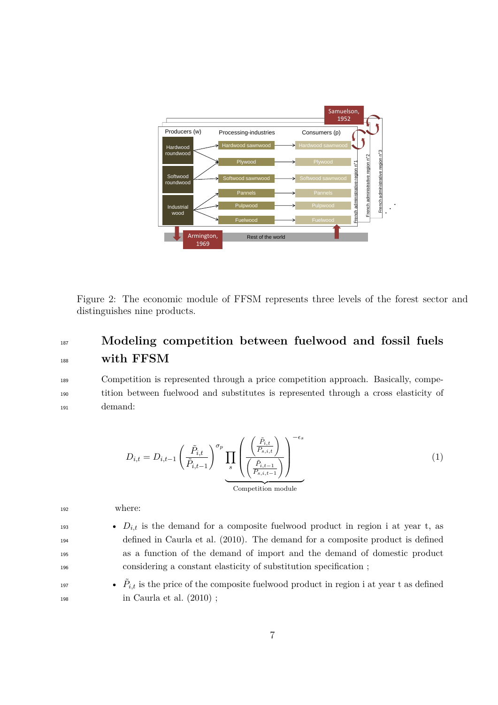<span id="page-6-0"></span>

Figure 2: The economic module of FFSM represents three levels of the forest sector and distinguishes nine products.

# <sup>187</sup> **Modeling competition between fuelwood and fossil fuels** <sup>188</sup> **with FFSM**

<span id="page-6-1"></span><sup>189</sup> Competition is represented through a price competition approach. Basically, compe-<sup>190</sup> tition between fuelwood and substitutes is represented through a cross elasticity of <sup>191</sup> demand:

$$
D_{i,t} = D_{i,t-1} \left(\frac{\tilde{P}_{i,t}}{\tilde{P}_{i,t-1}}\right)^{\sigma_p} \prod_{s} \left(\frac{\left(\frac{\tilde{P}_{i,t}}{P_{s,i,t}}\right)}{\left(\frac{\tilde{P}_{i,t-1}}{P_{s,i,t-1}}\right)}\right)^{-\epsilon_s}
$$
\nCompetition module

<sup>192</sup> where:

- $P_{i,t}$  is the demand for a composite fuelwood product in region i at year t, as <sup>194</sup> defined in [Caurla et al.](#page-17-2) [\(2010\)](#page-17-2). The demand for a composite product is defined <sup>195</sup> as a function of the demand of import and the demand of domestic product <sup>196</sup> considering a constant elasticity of substitution specification ;
- 
- <sup>197</sup>  $\tilde{P}_{i,t}$  is the price of the composite fuelwood product in region i at year t as defined <sup>198</sup> in [Caurla et al.](#page-17-2) [\(2010\)](#page-17-2) ;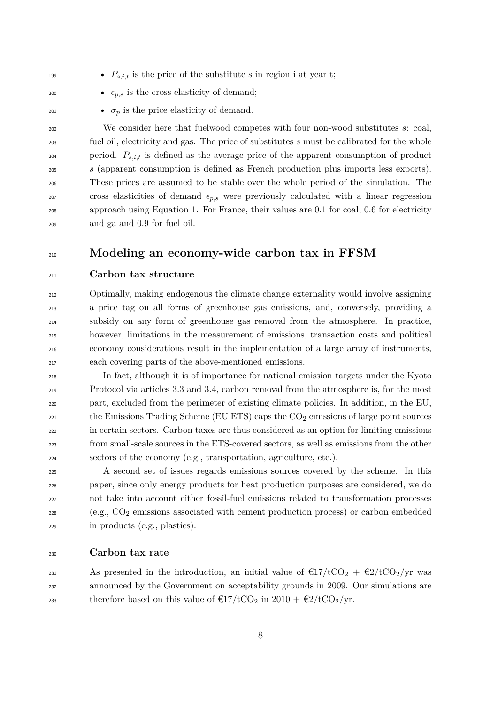- $\bullet$   $P_{s,i,t}$  is the price of the substitute s in region i at year t;
- <sup>200</sup>  $\epsilon_{p,s}$  is the cross elasticity of demand;
- <sup>201</sup>  $\sigma_p$  is the price elasticity of demand.

 We consider here that fuelwood competes with four non-wood substitutes *s*: coal, fuel oil, electricity and gas. The price of substitutes *s* must be calibrated for the whole  $p_{s,i,t}$  is defined as the average price of the apparent consumption of product *s* (apparent consumption is defined as French production plus imports less exports). These prices are assumed to be stable over the whole period of the simulation. The cross elasticities of demand  $\epsilon_{p,s}$  were previously calculated with a linear regression approach using Equation [1.](#page-6-1) For France, their values are 0.1 for coal, 0.6 for electricity and ga and 0.9 for fuel oil.

### **Modeling an economy-wide carbon tax in FFSM**

**Carbon tax structure**

 Optimally, making endogenous the climate change externality would involve assigning a price tag on all forms of greenhouse gas emissions, and, conversely, providing a subsidy on any form of greenhouse gas removal from the atmosphere. In practice, however, limitations in the measurement of emissions, transaction costs and political economy considerations result in the implementation of a large array of instruments, each covering parts of the above-mentioned emissions.

 In fact, although it is of importance for national emission targets under the Kyoto Protocol via articles 3.3 and 3.4, carbon removal from the atmosphere is, for the most part, excluded from the perimeter of existing climate policies. In addition, in the EU, the Emissions Trading Scheme (EU ETS) caps the  $CO<sub>2</sub>$  emissions of large point sources in certain sectors. Carbon taxes are thus considered as an option for limiting emissions from small-scale sources in the ETS-covered sectors, as well as emissions from the other sectors of the economy (e.g., transportation, agriculture, etc.).

 A second set of issues regards emissions sources covered by the scheme. In this paper, since only energy products for heat production purposes are considered, we do not take into account either fossil-fuel emissions related to transformation processes (e.g., CO<sup>2</sup> emissions associated with cement production process) or carbon embedded in products (e.g., plastics).

**Carbon tax rate**

231 As presented in the introduction, an initial value of  $\epsilon 17/tCO_2 + \epsilon 2/tCO_2/yr$  was announced by the Government on acceptability grounds in 2009. Our simulations are 233 therefore based on this value of  $\frac{\epsilon_{17}}{\epsilon_{02}}$  in 2010 +  $\frac{\epsilon_{2}}{\epsilon_{02}}$ /yr.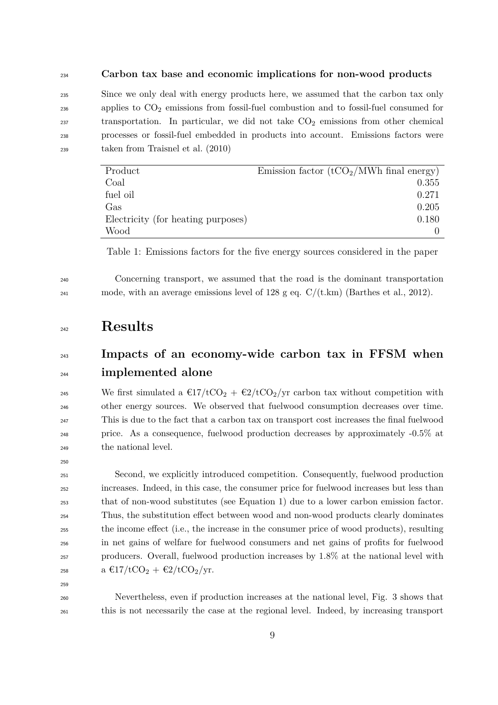**Carbon tax base and economic implications for non-wood products**

 Since we only deal with energy products here, we assumed that the carbon tax only applies to CO<sup>2</sup> emissions from fossil-fuel combustion and to fossil-fuel consumed for transportation. In particular, we did not take  $CO<sub>2</sub>$  emissions from other chemical processes or fossil-fuel embedded in products into account. Emissions factors were taken from [Traisnel et al.](#page-19-7) [\(2010\)](#page-19-7)

| Product                            | Emission factor $(tCO2/MWh$ final energy) |
|------------------------------------|-------------------------------------------|
| Coal                               | 0.355                                     |
| fuel oil                           | 0.271                                     |
| Gas                                | 0.205                                     |
| Electricity (for heating purposes) | 0.180                                     |
| Wood                               |                                           |

Table 1: Emissions factors for the five energy sources considered in the paper

 Concerning transport, we assumed that the road is the dominant transportation 241 mode, with an average emissions level of 128 g eq.  $C/(t.km)$  [\(Barthes et al.,](#page-16-1) [2012\)](#page-16-1).

# **Results**

# **Impacts of an economy-wide carbon tax in FFSM when implemented alone**

<sup>245</sup> We first simulated a  $\frac{17}{10}$ ,  $\frac{17}{1002}$  +  $\frac{12}{1002}$  x carbon tax without competition with other energy sources. We observed that fuelwood consumption decreases over time. This is due to the fact that a carbon tax on transport cost increases the final fuelwood price. As a consequence, fuelwood production decreases by approximately -0.5% at the national level.

 Second, we explicitly introduced competition. Consequently, fuelwood production increases. Indeed, in this case, the consumer price for fuelwood increases but less than that of non-wood substitutes (see Equation [1\)](#page-6-1) due to a lower carbon emission factor. Thus, the substitution effect between wood and non-wood products clearly dominates the income effect (i.e., the increase in the consumer price of wood products), resulting in net gains of welfare for fuelwood consumers and net gains of profits for fuelwood producers. Overall, fuelwood production increases by 1.8% at the national level with 258 a  $\epsilon$ 17/tCO<sub>2</sub> +  $\epsilon$ 2/tCO<sub>2</sub>/yr.

 Nevertheless, even if production increases at the national level, Fig. [3](#page-9-0) shows that this is not necessarily the case at the regional level. Indeed, by increasing transport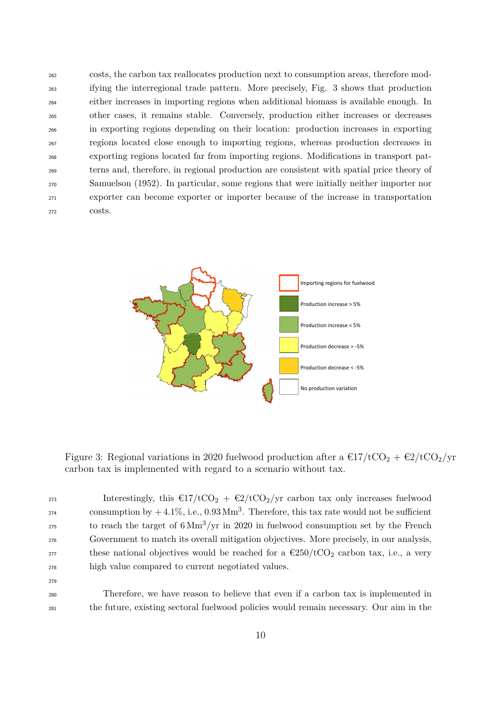costs, the carbon tax reallocates production next to consumption areas, therefore mod- ifying the interregional trade pattern. More precisely, Fig. [3](#page-9-0) shows that production either increases in importing regions when additional biomass is available enough. In other cases, it remains stable. Conversely, production either increases or decreases in exporting regions depending on their location: production increases in exporting regions located close enough to importing regions, whereas production decreases in exporting regions located far from importing regions. Modifications in transport pat- terns and, therefore, in regional production are consistent with spatial price theory of [Samuelson](#page-19-6) [\(1952\)](#page-19-6). In particular, some regions that were initially neither importer nor exporter can become exporter or importer because of the increase in transportation costs.

<span id="page-9-0"></span>

Figure 3: Regional variations in 2020 fuelwood production after a  $\epsilon$ 17/tCO<sub>2</sub> +  $\epsilon$ 2/tCO<sub>2</sub>/yr carbon tax is implemented with regard to a scenario without tax.

| 273 | Interestingly, this $\frac{\epsilon 17}{\epsilon O_2} + \frac{\epsilon 2}{\epsilon O_2}{\gamma r}$ carbon tax only increases fuelwood |
|-----|---------------------------------------------------------------------------------------------------------------------------------------|
| 274 | consumption by $+4.1\%$ , i.e., 0.93 Mm <sup>3</sup> . Therefore, this tax rate would not be sufficient                               |
| 275 | to reach the target of $6 \text{ Mm}^3/\text{yr}$ in 2020 in fuelwood consumption set by the French                                   |
| 276 | Government to match its overall mitigation objectives. More precisely, in our analysis,                                               |
| 277 | these national objectives would be reached for a $\epsilon$ 250/tCO <sub>2</sub> carbon tax, i.e., a very                             |
| 278 | high value compared to current negotiated values.                                                                                     |
| 279 |                                                                                                                                       |
| 280 | Therefore, we have reason to believe that even if a carbon tax is implemented in                                                      |

the future, existing sectoral fuelwood policies would remain necessary. Our aim in the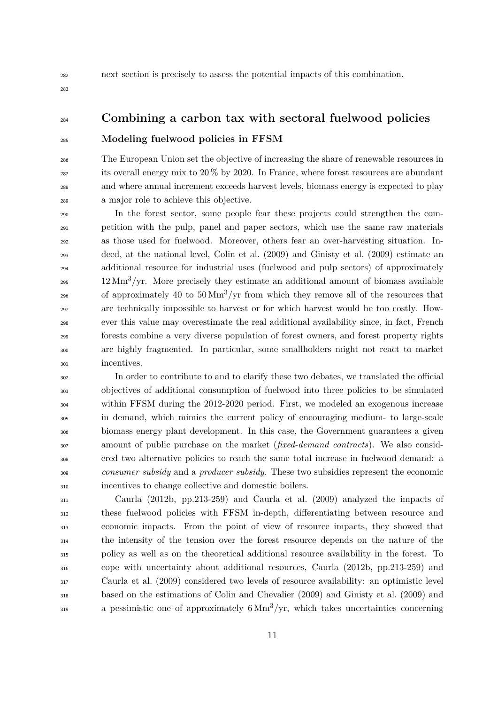### **Combining a carbon tax with sectoral fuelwood policies**

#### **Modeling fuelwood policies in FFSM**

 The European Union set the objective of increasing the share of renewable resources in <sup>287</sup> its overall energy mix to 20  $\%$  by 2020. In France, where forest resources are abundant and where annual increment exceeds harvest levels, biomass energy is expected to play a major role to achieve this objective.

 In the forest sector, some people fear these projects could strengthen the com- petition with the pulp, panel and paper sectors, which use the same raw materials as those used for fuelwood. Moreover, others fear an over-harvesting situation. In- deed, at the national level, [Colin et al.](#page-17-6) [\(2009\)](#page-17-6) and [Ginisty et al.](#page-17-7) [\(2009\)](#page-17-7) estimate an additional resource for industrial uses (fuelwood and pulp sectors) of approximately <sup>295</sup> 12 Mm<sup>3</sup>/yr. More precisely they estimate an additional amount of biomass available <sup>296</sup> of approximately 40 to  $50 \,\mathrm{Mm^3/yr}$  from which they remove all of the resources that are technically impossible to harvest or for which harvest would be too costly. How- ever this value may overestimate the real additional availability since, in fact, French forests combine a very diverse population of forest owners, and forest property rights are highly fragmented. In particular, some smallholders might not react to market incentives.

 In order to contribute to and to clarify these two debates, we translated the official objectives of additional consumption of fuelwood into three policies to be simulated within FFSM during the 2012-2020 period. First, we modeled an exogenous increase in demand, which mimics the current policy of encouraging medium- to large-scale biomass energy plant development. In this case, the Government guarantees a given amount of public purchase on the market (*fixed-demand contracts*). We also consid- ered two alternative policies to reach the same total increase in fuelwood demand: a *consumer subsidy* and a *producer subsidy*. These two subsidies represent the economic incentives to change collective and domestic boilers.

 [Caurla](#page-17-1) [\(2012b,](#page-17-1) pp.213-259) and [Caurla et al.](#page-17-8) [\(2009\)](#page-17-8) analyzed the impacts of these fuelwood policies with FFSM in-depth, differentiating between resource and economic impacts. From the point of view of resource impacts, they showed that the intensity of the tension over the forest resource depends on the nature of the policy as well as on the theoretical additional resource availability in the forest. To cope with uncertainty about additional resources, [Caurla](#page-17-1) [\(2012b,](#page-17-1) pp.213-259) and [Caurla et al.](#page-17-8) [\(2009\)](#page-17-8) considered two levels of resource availability: an optimistic level based on the estimations of [Colin and Chevalier](#page-17-9) [\(2009\)](#page-17-9) and [Ginisty et al.](#page-17-7) [\(2009\)](#page-17-7) and a pessimistic one of approximately  $6 \,\mathrm{Mm}^3/\mathrm{yr}$ , which takes uncertainties concerning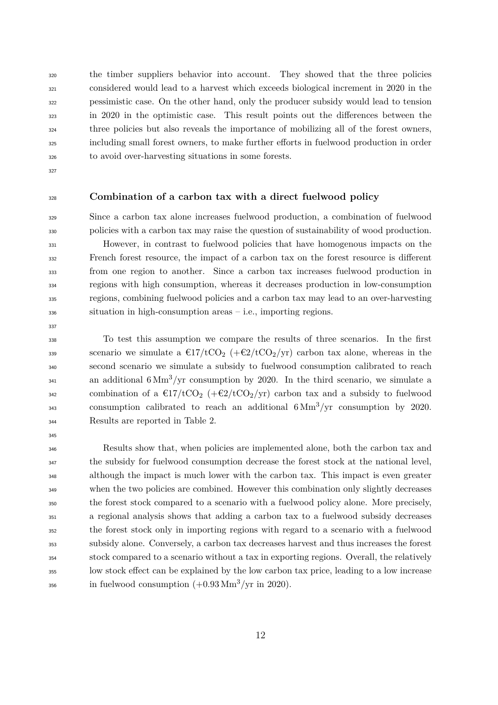the timber suppliers behavior into account. They showed that the three policies considered would lead to a harvest which exceeds biological increment in 2020 in the pessimistic case. On the other hand, only the producer subsidy would lead to tension in 2020 in the optimistic case. This result points out the differences between the three policies but also reveals the importance of mobilizing all of the forest owners, including small forest owners, to make further efforts in fuelwood production in order to avoid over-harvesting situations in some forests.

### **Combination of a carbon tax with a direct fuelwood policy**

 Since a carbon tax alone increases fuelwood production, a combination of fuelwood policies with a carbon tax may raise the question of sustainability of wood production.

 However, in contrast to fuelwood policies that have homogenous impacts on the French forest resource, the impact of a carbon tax on the forest resource is different from one region to another. Since a carbon tax increases fuelwood production in regions with high consumption, whereas it decreases production in low-consumption regions, combining fuelwood policies and a carbon tax may lead to an over-harvesting situation in high-consumption areas – i.e., importing regions.

 To test this assumption we compare the results of three scenarios. In the first scenario we simulate a  $\epsilon$ 17/tCO<sub>2</sub> (+ $\epsilon$ 2/tCO<sub>2</sub>/yr) carbon tax alone, whereas in the second scenario we simulate a subsidy to fuelwood consumption calibrated to reach an additional  $6 \,\mathrm{Mm}^3/\mathrm{yr}$  consumption by 2020. In the third scenario, we simulate a 342 combination of a  $\epsilon$ 17/tCO<sub>2</sub> (+ $\epsilon$ 2/tCO<sub>2</sub>/yr) carbon tax and a subsidy to fuelwood consumption calibrated to reach an additional  $6 \text{ Mm}^3/\text{yr}$  consumption by 2020. Results are reported in Table [2.](#page-12-0)

 Results show that, when policies are implemented alone, both the carbon tax and <sup>347</sup> the subsidy for fuelwood consumption decrease the forest stock at the national level, although the impact is much lower with the carbon tax. This impact is even greater when the two policies are combined. However this combination only slightly decreases the forest stock compared to a scenario with a fuelwood policy alone. More precisely, a regional analysis shows that adding a carbon tax to a fuelwood subsidy decreases the forest stock only in importing regions with regard to a scenario with a fuelwood subsidy alone. Conversely, a carbon tax decreases harvest and thus increases the forest stock compared to a scenario without a tax in exporting regions. Overall, the relatively low stock effect can be explained by the low carbon tax price, leading to a low increase <sup>356</sup> in fuelwood consumption  $(+0.93 \text{ Mm}^3/\text{yr}$  in 2020).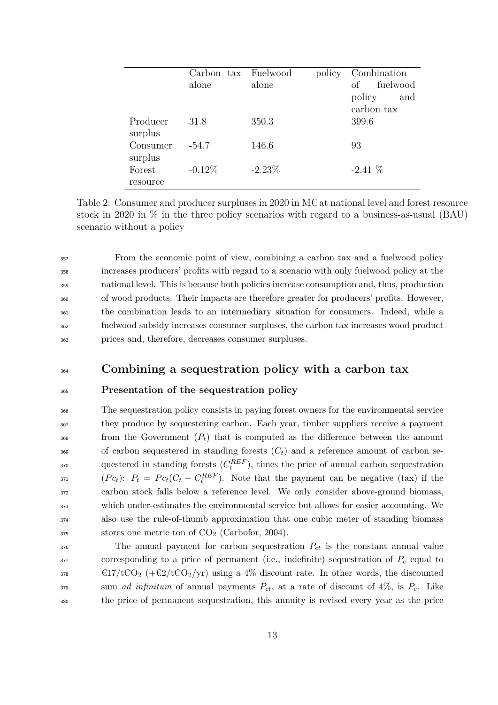<span id="page-12-0"></span>

|          | Carbon tax Fuelwood |           | policy | Combination    |
|----------|---------------------|-----------|--------|----------------|
|          | alone               | alone     |        | fuelwood<br>of |
|          |                     |           |        | policy<br>and  |
|          |                     |           |        | carbon tax     |
| Producer | 31.8                | 350.3     |        | 399.6          |
| surplus  |                     |           |        |                |
| Consumer | $-54.7$             | 146.6     |        | 93             |
| surplus  |                     |           |        |                |
| Forest   | $-0.12\%$           | $-2.23\%$ |        | $-2.41\%$      |
| resource |                     |           |        |                |

Table 2: Consumer and producer surpluses in 2020 in  $M\epsilon$  at national level and forest resource stock in 2020 in % in the three policy scenarios with regard to a business-as-usual (BAU) scenario without a policy

 From the economic point of view, combining a carbon tax and a fuelwood policy increases producers' profits with regard to a scenario with only fuelwood policy at the national level. This is because both policies increase consumption and, thus, production of wood products. Their impacts are therefore greater for producers' profits. However, the combination leads to an intermediary situation for consumers. Indeed, while a fuelwood subsidy increases consumer surpluses, the carbon tax increases wood product prices and, therefore, decreases consumer surpluses.

### <sup>364</sup> **Combining a sequestration policy with a carbon tax**

### <sup>365</sup> **Presentation of the sequestration policy**

 The sequestration policy consists in paying forest owners for the environmental service they produce by sequestering carbon. Each year, timber suppliers receive a payment  $\frac{368}{100}$  from the Government  $(P_t)$  that is computed as the difference between the amount of carbon sequestered in standing forests  $(C_t)$  and a reference amount of carbon se $q$  questered in standing forests  $(C_t^{REF})$ , times the price of annual carbon sequestration  $(PC_t):$   $P_t = Pc_t(C_t - C_t^{REF})$ . Note that the payment can be negative (tax) if the carbon stock falls below a reference level. We only consider above-ground biomass, which under-estimates the environmental service but allows for easier accounting. We also use the rule-of-thumb approximation that one cubic meter of standing biomass stores one metric ton of  $CO<sub>2</sub>$  [\(Carbofor,](#page-17-10) [2004\)](#page-17-10).

 $T<sub>1</sub>$ <sup>376</sup> The annual payment for carbon sequestration  $P<sub>ct</sub>$  is the constant annual value <sup>377</sup> corresponding to a price of permanent (i.e., indefinite) sequestration of *P<sup>c</sup>* equal to  $\epsilon$ 17/tCO<sub>2</sub> (+ $\epsilon$ 2/tCO<sub>2</sub>/yr) using a 4% discount rate. In other words, the discounted sum *ad infinitum* of annual payments  $P_{ct}$ , at a rate of discount of 4%, is  $P_c$ . Like <sup>380</sup> the price of permanent sequestration, this annuity is revised every year as the price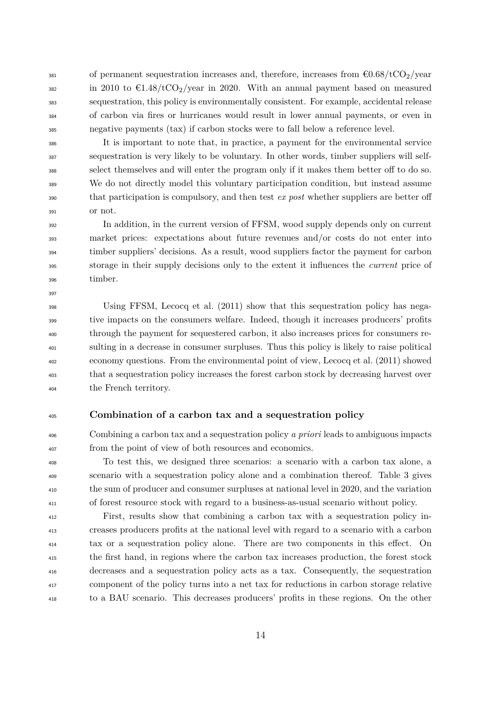381 of permanent sequestration increases and, therefore, increases from  $\epsilon 0.68/tCO<sub>2</sub>/year$  $\frac{382}{100}$  in 2010 to  $\frac{2010 \text{ to } 48}{1.48}$  to  $\frac{2020}{100}$ . With an annual payment based on measured sequestration, this policy is environmentally consistent. For example, accidental release of carbon via fires or hurricanes would result in lower annual payments, or even in negative payments (tax) if carbon stocks were to fall below a reference level.

 It is important to note that, in practice, a payment for the environmental service sequestration is very likely to be voluntary. In other words, timber suppliers will self- select themselves and will enter the program only if it makes them better off to do so. We do not directly model this voluntary participation condition, but instead assume that participation is compulsory, and then test *ex post* whether suppliers are better off or not.

 In addition, in the current version of FFSM, wood supply depends only on current market prices: expectations about future revenues and/or costs do not enter into timber suppliers' decisions. As a result, wood suppliers factor the payment for carbon storage in their supply decisions only to the extent it influences the *current* price of timber.

 Using FFSM, [Lecocq et al.](#page-18-6) [\(2011\)](#page-18-6) show that this sequestration policy has nega- tive impacts on the consumers welfare. Indeed, though it increases producers' profits through the payment for sequestered carbon, it also increases prices for consumers re- sulting in a decrease in consumer surpluses. Thus this policy is likely to raise political economy questions. From the environmental point of view, [Lecocq et al.](#page-18-6) [\(2011\)](#page-18-6) showed that a sequestration policy increases the forest carbon stock by decreasing harvest over the French territory.

### **Combination of a carbon tax and a sequestration policy**

 Combining a carbon tax and a sequestration policy *a priori* leads to ambiguous impacts from the point of view of both resources and economics.

 To test this, we designed three scenarios: a scenario with a carbon tax alone, a scenario with a sequestration policy alone and a combination thereof. Table [3](#page-14-0) gives the sum of producer and consumer surpluses at national level in 2020, and the variation of forest resource stock with regard to a business-as-usual scenario without policy.

 First, results show that combining a carbon tax with a sequestration policy in- creases producers profits at the national level with regard to a scenario with a carbon tax or a sequestration policy alone. There are two components in this effect. On the first hand, in regions where the carbon tax increases production, the forest stock decreases and a sequestration policy acts as a tax. Consequently, the sequestration component of the policy turns into a net tax for reductions in carbon storage relative to a BAU scenario. This decreases producers' profits in these regions. On the other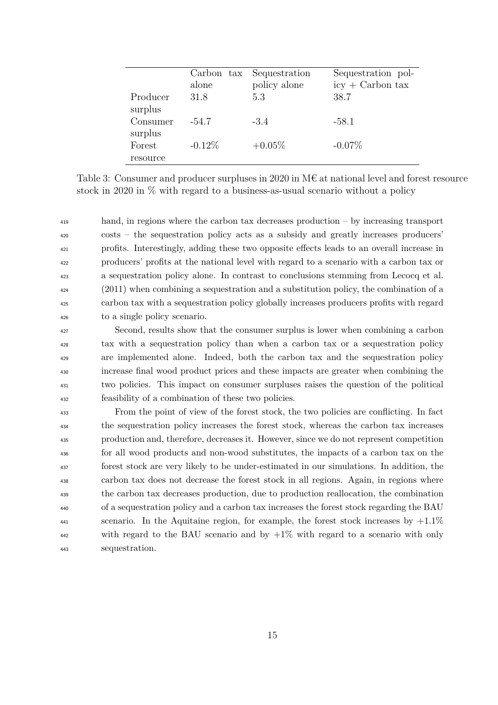<span id="page-14-0"></span>

| Producer<br>surplus | Carbon tax<br>alone<br>31.8 | Sequestration<br>policy alone<br>5.3 | Sequestration pol-<br>$icy + Carbon tax$<br>38.7 |
|---------------------|-----------------------------|--------------------------------------|--------------------------------------------------|
| Consumer            | $-54.7$                     | $-3.4$                               | $-58.1$                                          |
| surplus<br>Forest   | $-0.12\%$                   | $+0.05\%$                            | $-0.07\%$                                        |
| resource            |                             |                                      |                                                  |

Table 3: Consumer and producer surpluses in 2020 in  $M\epsilon$  at national level and forest resource stock in 2020 in % with regard to a business-as-usual scenario without a policy

 hand, in regions where the carbon tax decreases production – by increasing transport costs – the sequestration policy acts as a subsidy and greatly increases producers' profits. Interestingly, adding these two opposite effects leads to an overall increase in producers' profits at the national level with regard to a scenario with a carbon tax or a sequestration policy alone. In contrast to conclusions stemming from [Lecocq et al.](#page-18-6) [\(2011\)](#page-18-6) when combining a sequestration and a substitution policy, the combination of a carbon tax with a sequestration policy globally increases producers profits with regard to a single policy scenario.

 Second, results show that the consumer surplus is lower when combining a carbon tax with a sequestration policy than when a carbon tax or a sequestration policy are implemented alone. Indeed, both the carbon tax and the sequestration policy increase final wood product prices and these impacts are greater when combining the two policies. This impact on consumer surpluses raises the question of the political feasibility of a combination of these two policies.

 From the point of view of the forest stock, the two policies are conflicting. In fact the sequestration policy increases the forest stock, whereas the carbon tax increases production and, therefore, decreases it. However, since we do not represent competition for all wood products and non-wood substitutes, the impacts of a carbon tax on the forest stock are very likely to be under-estimated in our simulations. In addition, the carbon tax does not decrease the forest stock in all regions. Again, in regions where the carbon tax decreases production, due to production reallocation, the combination of a sequestration policy and a carbon tax increases the forest stock regarding the BAU <sup>441</sup> scenario. In the Aquitaine region, for example, the forest stock increases by  $+1.1\%$ <sup>442</sup> with regard to the BAU scenario and by  $+1\%$  with regard to a scenario with only sequestration.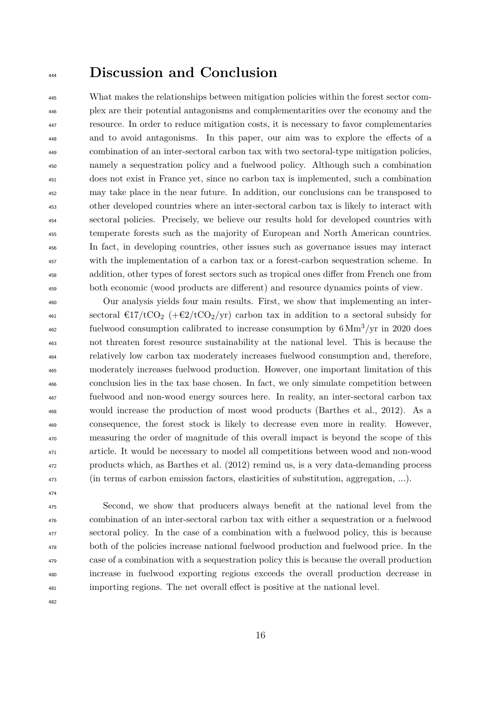# **Discussion and Conclusion**

 What makes the relationships between mitigation policies within the forest sector com- plex are their potential antagonisms and complementarities over the economy and the resource. In order to reduce mitigation costs, it is necessary to favor complementaries and to avoid antagonisms. In this paper, our aim was to explore the effects of a combination of an inter-sectoral carbon tax with two sectoral-type mitigation policies, namely a sequestration policy and a fuelwood policy. Although such a combination does not exist in France yet, since no carbon tax is implemented, such a combination may take place in the near future. In addition, our conclusions can be transposed to other developed countries where an inter-sectoral carbon tax is likely to interact with sectoral policies. Precisely, we believe our results hold for developed countries with temperate forests such as the majority of European and North American countries. In fact, in developing countries, other issues such as governance issues may interact with the implementation of a carbon tax or a forest-carbon sequestration scheme. In addition, other types of forest sectors such as tropical ones differ from French one from both economic (wood products are different) and resource dynamics points of view.

 Our analysis yields four main results. First, we show that implementing an inter- $\text{1461}$  sectoral  $\left(\frac{17}{\text{CO}_2}\right)$  +  $\left(\frac{2}{\text{CO}_2}\right)$  carbon tax in addition to a sectoral subsidy for  $f_{462}$  fuelwood consumption calibrated to increase consumption by  $6 \,\mathrm{Mm^3/yr}$  in 2020 does not threaten forest resource sustainability at the national level. This is because the relatively low carbon tax moderately increases fuelwood consumption and, therefore, moderately increases fuelwood production. However, one important limitation of this conclusion lies in the tax base chosen. In fact, we only simulate competition between fuelwood and non-wood energy sources here. In reality, an inter-sectoral carbon tax would increase the production of most wood products [\(Barthes et al.,](#page-16-1) [2012\)](#page-16-1). As a consequence, the forest stock is likely to decrease even more in reality. However, measuring the order of magnitude of this overall impact is beyond the scope of this article. It would be necessary to model all competitions between wood and non-wood products which, as [Barthes et al.](#page-16-1) [\(2012\)](#page-16-1) remind us, is a very data-demanding process (in terms of carbon emission factors, elasticities of substitution, aggregation, ...).

 Second, we show that producers always benefit at the national level from the combination of an inter-sectoral carbon tax with either a sequestration or a fuelwood sectoral policy. In the case of a combination with a fuelwood policy, this is because both of the policies increase national fuelwood production and fuelwood price. In the case of a combination with a sequestration policy this is because the overall production increase in fuelwood exporting regions exceeds the overall production decrease in importing regions. The net overall effect is positive at the national level.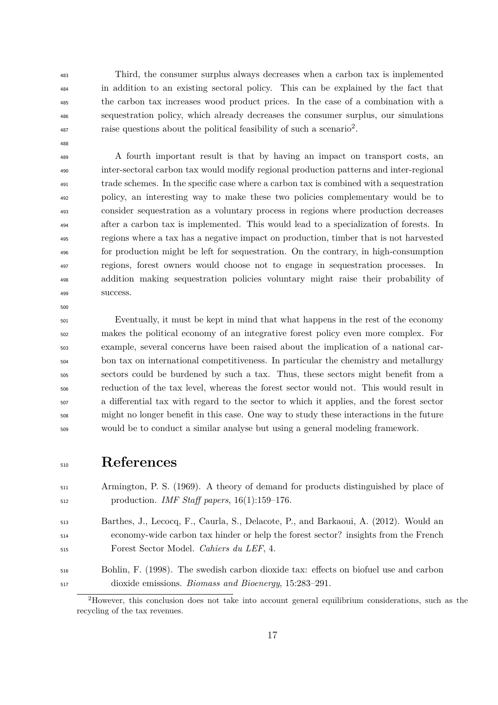Third, the consumer surplus always decreases when a carbon tax is implemented in addition to an existing sectoral policy. This can be explained by the fact that the carbon tax increases wood product prices. In the case of a combination with a sequestration policy, which already decreases the consumer surplus, our simulations <sup>487</sup> raise questions about the political feasibility of such a scenario<sup>[2](#page-16-3)</sup>.

 A fourth important result is that by having an impact on transport costs, an inter-sectoral carbon tax would modify regional production patterns and inter-regional trade schemes. In the specific case where a carbon tax is combined with a sequestration policy, an interesting way to make these two policies complementary would be to consider sequestration as a voluntary process in regions where production decreases after a carbon tax is implemented. This would lead to a specialization of forests. In regions where a tax has a negative impact on production, timber that is not harvested for production might be left for sequestration. On the contrary, in high-consumption regions, forest owners would choose not to engage in sequestration processes. In addition making sequestration policies voluntary might raise their probability of success.

 Eventually, it must be kept in mind that what happens in the rest of the economy makes the political economy of an integrative forest policy even more complex. For example, several concerns have been raised about the implication of a national car- bon tax on international competitiveness. In particular the chemistry and metallurgy sectors could be burdened by such a tax. Thus, these sectors might benefit from a reduction of the tax level, whereas the forest sector would not. This would result in a differential tax with regard to the sector to which it applies, and the forest sector might no longer benefit in this case. One way to study these interactions in the future would be to conduct a similar analyse but using a general modeling framework.

**References**

- <span id="page-16-2"></span> Armington, P. S. (1969). A theory of demand for products distinguished by place of production. *IMF Staff papers*, 16(1):159–176.
- <span id="page-16-1"></span> Barthes, J., Lecocq, F., Caurla, S., Delacote, P., and Barkaoui, A. (2012). Would an economy-wide carbon tax hinder or help the forest sector? insights from the French Forest Sector Model. *Cahiers du LEF*, 4.
- <span id="page-16-0"></span> Bohlin, F. (1998). The swedish carbon dioxide tax: effects on biofuel use and carbon dioxide emissions. *Biomass and Bioenergy*, 15:283–291.

<span id="page-16-3"></span>However, this conclusion does not take into account general equilibrium considerations, such as the recycling of the tax revenues.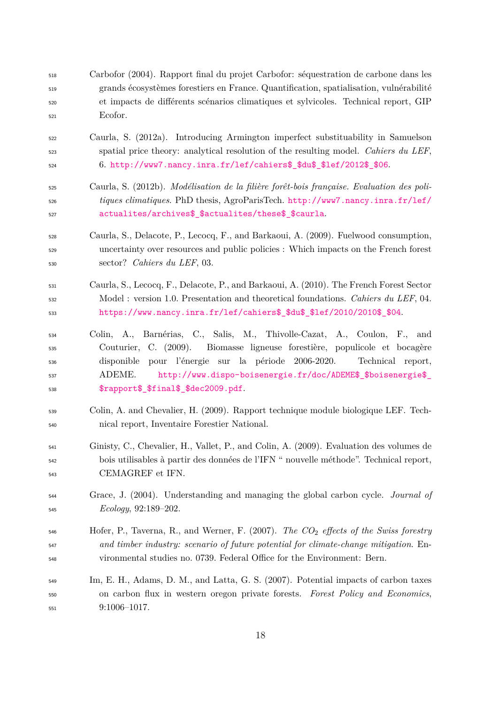- <span id="page-17-10"></span> Carbofor (2004). Rapport final du projet Carbofor: séquestration de carbone dans les grands écosystèmes forestiers en France. Quantification, spatialisation, vulnérabilité et impacts de différents scénarios climatiques et sylvicoles. Technical report, GIP Ecofor.
- <span id="page-17-5"></span> Caurla, S. (2012a). Introducing Armington imperfect substituability in Samuelson spatial price theory: analytical resolution of the resulting model. *Cahiers du LEF*, 6. http://www7.nancy.inra.fr/lef/cahiers\$ \$du\$ \$lef/2012\$ \$06.
- <span id="page-17-1"></span> Caurla, S. (2012b). *Modélisation de la filière forêt-bois française. Evaluation des poli- tiques climatiques*. PhD thesis, AgroParisTech. [http://www7.nancy.inra.fr/lef/](http://www7.nancy.inra.fr/lef/actualites/archives$_$actualites/these$_$caurla) [actualites/archives\\$\\_\\$actualites/these\\$\\_\\$caurla](http://www7.nancy.inra.fr/lef/actualites/archives$_$actualites/these$_$caurla).
- <span id="page-17-8"></span> Caurla, S., Delacote, P., Lecocq, F., and Barkaoui, A. (2009). Fuelwood consumption, uncertainty over resources and public policies : Which impacts on the French forest sector? *Cahiers du LEF*, 03.
- <span id="page-17-2"></span> Caurla, S., Lecocq, F., Delacote, P., and Barkaoui, A. (2010). The French Forest Sector Model : version 1.0. Presentation and theoretical foundations. *Cahiers du LEF*, 04. [https://www.nancy.inra.fr/lef/cahiers\\$\\_\\$du\\$\\_\\$lef/2010/2010\\$\\_\\$04](https://www.nancy.inra.fr/lef/cahiers$_$du$_$lef/2010/2010$_$04).
- <span id="page-17-6"></span> Colin, A., Barnérias, C., Salis, M., Thivolle-Cazat, A., Coulon, F., and Couturier, C. (2009). Biomasse ligneuse forestière, populicole et bocagère disponible pour l'énergie sur la période 2006-2020. Technical report, 537 ADEME. http://www.dispo-boisenergie.fr/doc/ADEME\$\_\$boisenergie\$ [\\$rapport\\$\\_\\$final\\$\\_\\$dec2009.pdf](http://www.dispo-boisenergie.fr/doc/ADEME$_$boisenergie$_$rapport$_$final$_$dec2009.pdf).
- <span id="page-17-9"></span> Colin, A. and Chevalier, H. (2009). Rapport technique module biologique LEF. Tech-nical report, Inventaire Forestier National.
- <span id="page-17-7"></span> Ginisty, C., Chevalier, H., Vallet, P., and Colin, A. (2009). Evaluation des volumes de bois utilisables à partir des données de l'IFN " nouvelle méthode". Technical report, CEMAGREF et IFN.
- <span id="page-17-0"></span> Grace, J. (2004). Understanding and managing the global carbon cycle. *Journal of Ecology*, 92:189–202.
- <span id="page-17-4"></span> Hofer, P., Taverna, R., and Werner, F. (2007). *The CO*<sup>2</sup> *effects of the Swiss forestry and timber industry: scenario of future potential for climate-change mitigation*. En-vironmental studies no. 0739. Federal Office for the Environment: Bern.
- <span id="page-17-3"></span> Im, E. H., Adams, D. M., and Latta, G. S. (2007). Potential impacts of carbon taxes on carbon flux in western oregon private forests. *Forest Policy and Economics*, 9:1006–1017.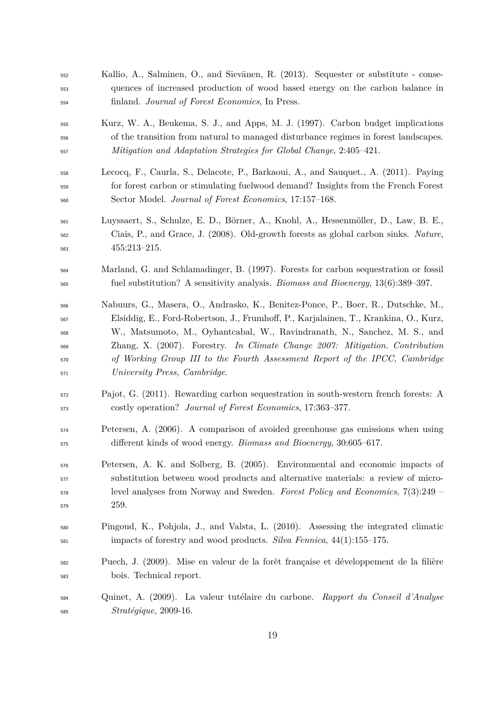<span id="page-18-11"></span><span id="page-18-10"></span><span id="page-18-9"></span><span id="page-18-8"></span><span id="page-18-7"></span><span id="page-18-6"></span><span id="page-18-5"></span><span id="page-18-4"></span><span id="page-18-3"></span><span id="page-18-2"></span><span id="page-18-1"></span><span id="page-18-0"></span>

| 552 | Kallio, A., Salminen, O., and Sievänen, R. (2013). Sequester or substitute - conse-      |
|-----|------------------------------------------------------------------------------------------|
| 553 | quences of increased production of wood based energy on the carbon balance in            |
| 554 | finland. Journal of Forest Economics, In Press.                                          |
| 555 | Kurz, W. A., Beukema, S. J., and Apps, M. J. (1997). Carbon budget implications          |
| 556 | of the transition from natural to managed disturbance regimes in forest landscapes.      |
| 557 | Mitigation and Adaptation Strategies for Global Change, 2:405-421.                       |
| 558 | Lecocq, F., Caurla, S., Delacote, P., Barkaoui, A., and Sauquet., A. (2011). Paying      |
| 559 | for forest carbon or stimulating fuelwood demand? Insights from the French Forest        |
| 560 | Sector Model. Journal of Forest Economics, 17:157-168.                                   |
| 561 | Luyssaert, S., Schulze, E. D., Börner, A., Knohl, A., Hessenmöller, D., Law, B. E.,      |
| 562 | Ciais, P., and Grace, J. (2008). Old-growth forests as global carbon sinks. Nature,      |
| 563 | $455:213 - 215.$                                                                         |
| 564 | Marland, G. and Schlamadinger, B. (1997). Forests for carbon sequestration or fossil     |
| 565 | fuel substitution? A sensitivity analysis. <i>Biomass and Bioenergy</i> , 13(6):389–397. |
| 566 | Nabuurs, G., Masera, O., Andrasko, K., Benitez-Ponce, P., Boer, R., Dutschke, M.,        |
| 567 | Elsiddig, E., Ford-Robertson, J., Frumhoff, P., Karjalainen, T., Krankina, O., Kurz,     |
| 568 | W., Matsumoto, M., Oyhantcabal, W., Ravindranath, N., Sanchez, M. S., and                |
| 569 | Zhang, X. (2007). Forestry. In Climate Change 2007: Mitigation. Contribution             |
| 570 | of Working Group III to the Fourth Assessment Report of the IPCC, Cambridge              |
| 571 | University Press, Cambridge.                                                             |
| 572 | Pajot, G. (2011). Rewarding carbon sequestration in south-western french forests: A      |
| 573 | costly operation? Journal of Forest Economics, 17:363-377.                               |
| 574 | Petersen, A. (2006). A comparison of avoided greenhouse gas emissions when using         |
| 575 | different kinds of wood energy. Biomass and Bioenergy, 30:605-617.                       |
| 576 | Petersen, A. K. and Solberg, B. (2005). Environmental and economic impacts of            |
| 577 | substitution between wood products and alternative materials: a review of micro-         |
| 578 | level analyses from Norway and Sweden. Forest Policy and Economics, $7(3):249$ –         |
| 579 | 259.                                                                                     |
| 580 | Pingoud, K., Pohjola, J., and Valsta, L. (2010). Assessing the integrated climatic       |
| 581 | impacts of forestry and wood products. Silva Fennica, $44(1):155-175$ .                  |
| 582 | Puech, J. (2009). Mise en valeur de la forêt française et développement de la filière    |
| 583 | bois. Technical report.                                                                  |
| 584 | Quinet, A. (2009). La valeur tutélaire du carbone. Rapport du Conseil d'Analyse          |
| 585 | Stratégique, 2009-16.                                                                    |